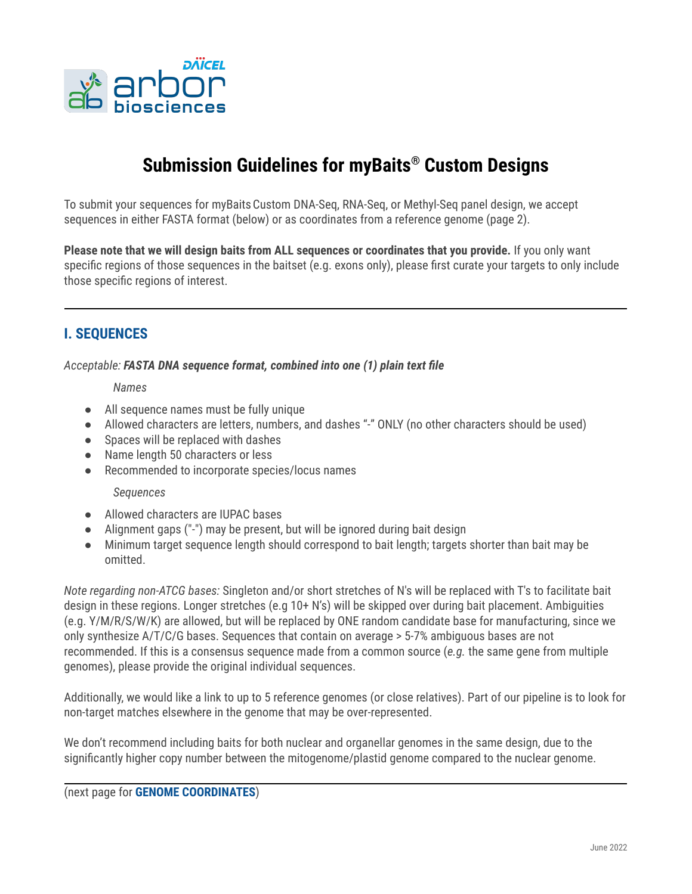

# **Submission Guidelines for myBaits ® Custom Designs**

To submit your sequences for myBaitsCustom DNA-Seq, RNA-Seq, or Methyl-Seq panel design, we accept sequences in either FASTA format (below) or as coordinates from a reference genome (page 2).

**Please note that we will design baits from ALL sequences or coordinates that you provide.** If you only want specific regions of those sequences in the baitset (e.g. exons only), please first curate your targets to only include those specific regions of interest.

### **I. SEQUENCES**

*Acceptable: FASTA DNA sequence format, combined into one (1) plain text file*

#### *Names*

- All sequence names must be fully unique
- Allowed characters are letters, numbers, and dashes "-" ONLY (no other characters should be used)
- Spaces will be replaced with dashes
- Name length 50 characters or less
- *●* Recommended to incorporate species/locus names

#### *Sequences*

- Allowed characters are IUPAC bases
- Alignment gaps ("-") may be present, but will be ignored during bait design
- Minimum target sequence length should correspond to bait length; targets shorter than bait may be omitted.

*Note regarding non-ATCG bases:* Singleton and/or short stretches of N's will be replaced with T's to facilitate bait design in these regions. Longer stretches (e.g 10+ N's) will be skipped over during bait placement. Ambiguities (e.g. Y/M/R/S/W/K) are allowed, but will be replaced by ONE random candidate base for manufacturing, since we only synthesize A/T/C/G bases. Sequences that contain on average > 5-7% ambiguous bases are not recommended. If this is a consensus sequence made from a common source (*e.g.* the same gene from multiple genomes), please provide the original individual sequences.

Additionally, we would like a link to up to 5 reference genomes (or close relatives). Part of our pipeline is to look for non-target matches elsewhere in the genome that may be over-represented.

We don't recommend including baits for both nuclear and organellar genomes in the same design, due to the significantly higher copy number between the mitogenome/plastid genome compared to the nuclear genome.